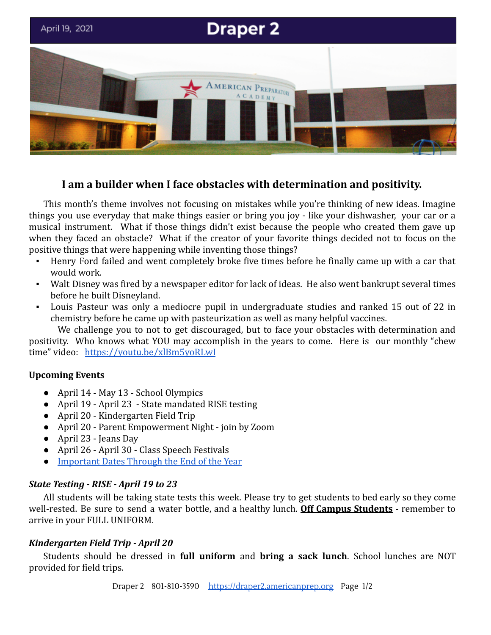

# **I am a builder when I face obstacles with determination and positivity.**

This month's theme involves not focusing on mistakes while you're thinking of new ideas. Imagine things you use everyday that make things easier or bring you joy - like your dishwasher, your car or a musical instrument. What if those things didn't exist because the people who created them gave up when they faced an obstacle? What if the creator of your favorite things decided not to focus on the positive things that were happening while inventing those things?

- Henry Ford failed and went completely broke five times before he finally came up with a car that would work.
- Walt Disney was fired by a newspaper editor for lack of ideas. He also went bankrupt several times before he built Disneyland.
- Louis Pasteur was only a mediocre pupil in undergraduate studies and ranked 15 out of 22 in chemistry before he came up with pasteurization as well as many helpful vaccines.

We challenge you to not to get discouraged, but to face your obstacles with determination and positivity. Who knows what YOU may accomplish in the years to come. Here is our monthly "chew time" video: <https://youtu.be/xlBm5yoRLwI>

## **Upcoming Events**

- April 14 May 13 School Olympics
- *●* April 19 April 23 State mandated RISE testing
- April 20 Kindergarten Field Trip
- April 20 Parent Empowerment Night join by Zoom
- April 23 Jeans Day
- April 26 April 30 Class Speech Festivals
- [Important Dates Through the End of the Year](https://docs.google.com/document/d/1J6M2qs3CgzwJghjMGlxaXbHNL2sZzsmAcC7pbZcyhG4/edit?usp=sharing)

## *State Testing - RISE - April 19 to 23*

All students will be taking state tests this week. Please try to get students to bed early so they come well-rested. Be sure to send a water bottle, and a healthy lunch. **Off Campus Students** - remember to arrive in your FULL UNIFORM.

### *Kindergarten Field Trip - April 20*

Students should be dressed in **full uniform** and **bring a sack lunch**. School lunches are NOT provided for field trips.